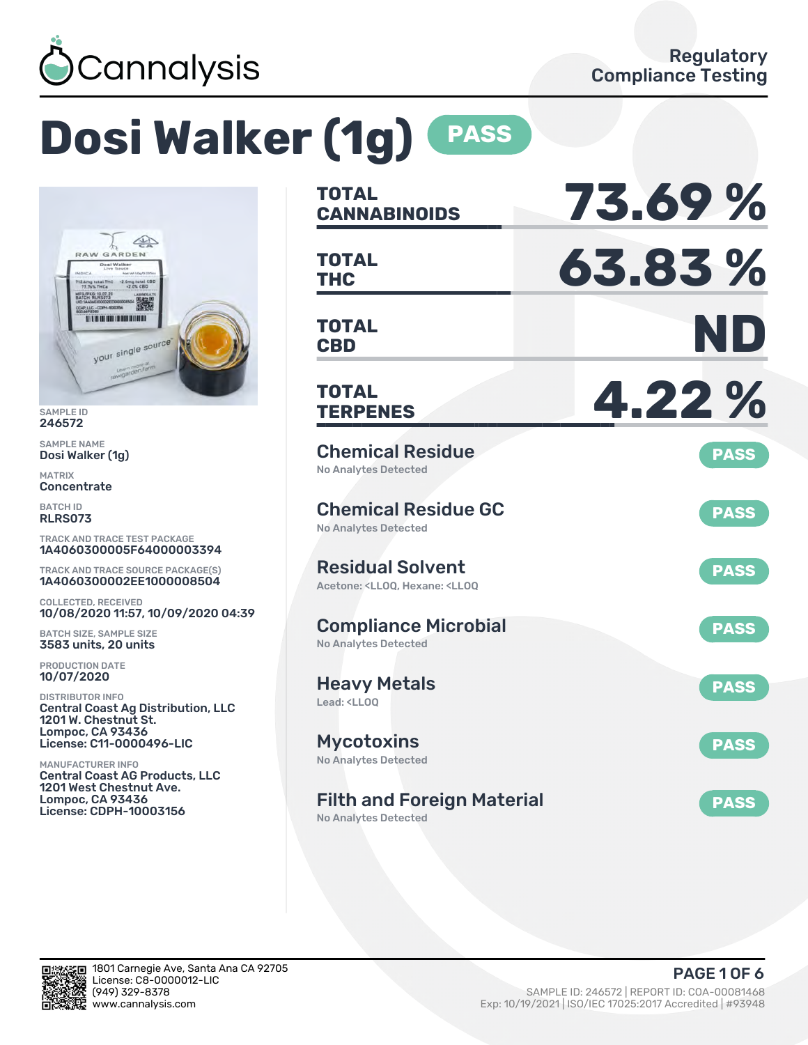

# **Dosi Walker (1g) PASS**



SAMPLE ID 246572

SAMPLE NAME Dosi Walker (1g)

MATRIX **Concentrate** 

BATCH ID RLRS073

TRACK AND TRACE TEST PACKAGE 1A4060300005F64000003394

TRACK AND TRACE SOURCE PACKAGE(S) 1A4060300002EE1000008504

COLLECTED, RECEIVED 10/08/2020 11:57, 10/09/2020 04:39

BATCH SIZE, SAMPLE SIZE 3583 units, 20 units

PRODUCTION DATE 10/07/2020

DISTRIBUTOR INFO Central Coast Ag Distribution, LLC 1201 W. Chestnut St. Lompoc, CA 93436 License: C11-0000496-LIC

MANUFACTURER INFO Central Coast AG Products, LLC 1201 West Chestnut Ave. Lompoc, CA 93436 License: CDPH-10003156

| <b>TOTAL</b><br><b>CANNABINOIDS</b>                                                                | 73.69%      |
|----------------------------------------------------------------------------------------------------|-------------|
| <b>TOTAL</b><br><b>THC</b>                                                                         | 63.83%      |
| <b>TOTAL</b><br><b>CBD</b>                                                                         | ND          |
| <b>TOTAL</b><br><b>TERPENES</b>                                                                    | 4.22%       |
| <b>Chemical Residue</b><br><b>No Analytes Detected</b>                                             | <b>PASS</b> |
| <b>Chemical Residue GC</b><br><b>No Analytes Detected</b>                                          | <b>PASS</b> |
| <b>Residual Solvent</b><br>Acetone: <ll00. <ll00<="" hexane:="" td=""><td><b>PASS</b></td></ll00.> | <b>PASS</b> |
| <b>Compliance Microbial</b><br><b>No Analytes Detected</b>                                         | <b>PASS</b> |
| <b>Heavy Metals</b><br>Lead: <ll00< td=""><td><b>PASS</b></td></ll00<>                             | <b>PASS</b> |
| <b>Mycotoxins</b><br>No Analytes Detected                                                          | <b>PASS</b> |
| <b>Filth and Foreign Material</b><br><b>No Analytes Detected</b>                                   | <b>PASS</b> |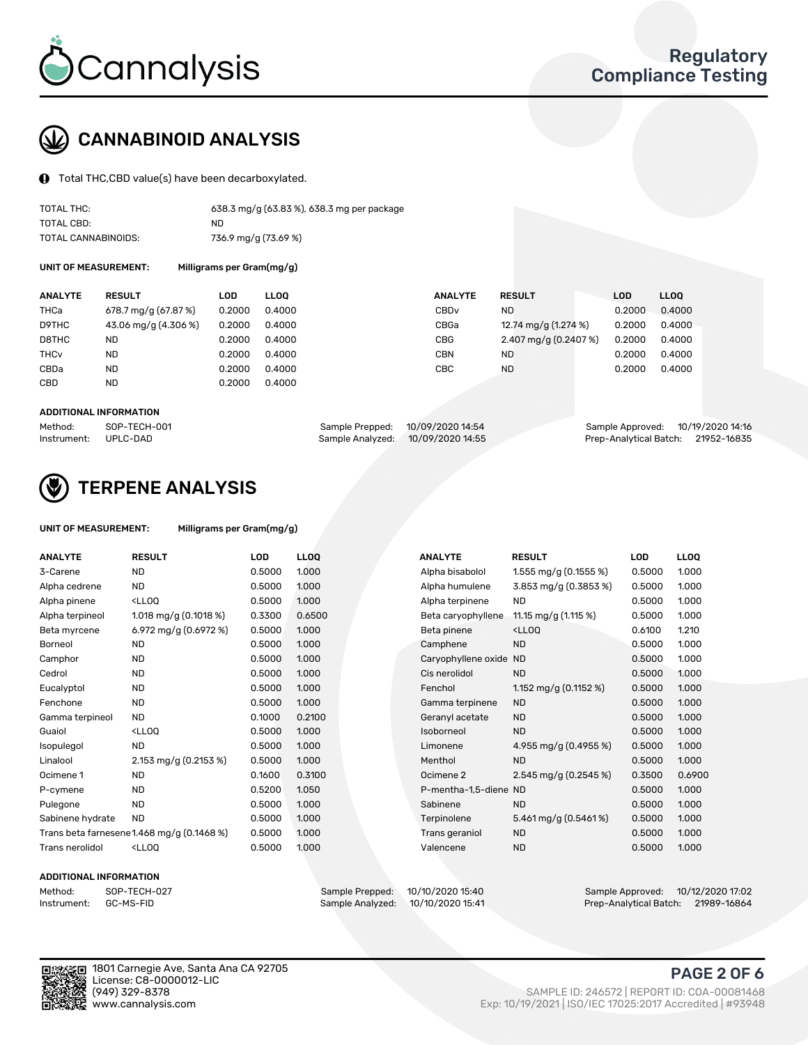

### CANNABINOID ANALYSIS

Total THC,CBD value(s) have been decarboxylated.

| TOTAL THC:          | 638.3 mg/g (63.83 %), 638.3 mg per package |
|---------------------|--------------------------------------------|
| TOTAL CBD:          | ND.                                        |
| TOTAL CANNABINOIDS: | 736.9 mg/g (73.69 %)                       |

UNIT OF MEASUREMENT: Milligrams per Gram(mg/g)

| <b>ANALYTE</b>         | <b>RESULT</b>        | LOD    | <b>LLOO</b> | <b>ANALYTE</b>   | <b>RESULT</b>         | <b>LOD</b> | LL <sub>00</sub> |
|------------------------|----------------------|--------|-------------|------------------|-----------------------|------------|------------------|
| <b>THCa</b>            | 678.7 mg/g (67.87 %) | 0.2000 | 0.4000      | CBD <sub>v</sub> | ND.                   | 0.2000     | 0.4000           |
| D9THC                  | 43.06 mg/g (4.306 %) | 0.2000 | 0.4000      | CBGa             | 12.74 mg/g (1.274 %)  | 0.2000     | 0.4000           |
| D8THC                  | ND                   | 0.2000 | 0.4000      | <b>CBG</b>       | 2.407 mg/g (0.2407 %) | 0.2000     | 0.4000           |
| <b>THC<sub>V</sub></b> | <b>ND</b>            | 0.2000 | 0.4000      | CBN              | <b>ND</b>             | 0.2000     | 0.4000           |
| CBDa                   | <b>ND</b>            | 0.2000 | 0.4000      | CBC              | <b>ND</b>             | 0.2000     | 0.4000           |
| CBD                    | <b>ND</b>            | 0.2000 | 0.4000      |                  |                       |            |                  |
|                        |                      |        |             |                  |                       |            |                  |

#### ADDITIONAL INFORMATION

| Method:              | SOP-TECH-001 | Sample Prepped: 10/09/2020 14:54  | Sample Approved: 10/19/2020 14:16  |  |
|----------------------|--------------|-----------------------------------|------------------------------------|--|
| Instrument: UPLC-DAD |              | Sample Analyzed: 10/09/2020 14:55 | Prep-Analytical Batch: 21952-16835 |  |



### TERPENE ANALYSIS

| UNIT OF MEASUREMENT: | Milligrams per Gram(mg/g) |
|----------------------|---------------------------|
|----------------------|---------------------------|

| <b>ANALYTE</b>         | <b>RESULT</b>                                                                                                             | <b>LOD</b> | <b>LLOQ</b> | <b>ANALYTE</b>         | <b>RESULT</b>                                      | <b>LOD</b> | <b>LLOQ</b> |
|------------------------|---------------------------------------------------------------------------------------------------------------------------|------------|-------------|------------------------|----------------------------------------------------|------------|-------------|
| 3-Carene               | <b>ND</b>                                                                                                                 | 0.5000     | 1.000       | Alpha bisabolol        | 1.555 mg/g $(0.1555\%)$                            | 0.5000     | 1.000       |
| Alpha cedrene          | ND.                                                                                                                       | 0.5000     | 1.000       | Alpha humulene         | 3.853 mg/g (0.3853 %)                              | 0.5000     | 1.000       |
| Alpha pinene           | <lloq< td=""><td>0.5000</td><td>1.000</td><td>Alpha terpinene</td><td><b>ND</b></td><td>0.5000</td><td>1.000</td></lloq<> | 0.5000     | 1.000       | Alpha terpinene        | <b>ND</b>                                          | 0.5000     | 1.000       |
| Alpha terpineol        | 1.018 mg/g $(0.1018\%)$                                                                                                   | 0.3300     | 0.6500      | Beta caryophyllene     | 11.15 mg/g (1.115 %)                               | 0.5000     | 1.000       |
| Beta myrcene           | 6.972 mg/g (0.6972 %)                                                                                                     | 0.5000     | 1.000       | Beta pinene            | <lloq< td=""><td>0.6100</td><td>1.210</td></lloq<> | 0.6100     | 1.210       |
| <b>Borneol</b>         | <b>ND</b>                                                                                                                 | 0.5000     | 1.000       | Camphene               | <b>ND</b>                                          | 0.5000     | 1.000       |
| Camphor                | <b>ND</b>                                                                                                                 | 0.5000     | 1.000       | Caryophyllene oxide ND |                                                    | 0.5000     | 1.000       |
| Cedrol                 | <b>ND</b>                                                                                                                 | 0.5000     | 1.000       | Cis nerolidol          | <b>ND</b>                                          | 0.5000     | 1.000       |
| Eucalyptol             | <b>ND</b>                                                                                                                 | 0.5000     | 1.000       | Fenchol                | 1.152 mg/g (0.1152 %)                              | 0.5000     | 1.000       |
| Fenchone               | <b>ND</b>                                                                                                                 | 0.5000     | 1.000       | Gamma terpinene        | <b>ND</b>                                          | 0.5000     | 1.000       |
| Gamma terpineol        | ND.                                                                                                                       | 0.1000     | 0.2100      | Geranyl acetate        | <b>ND</b>                                          | 0.5000     | 1.000       |
| Guaiol                 | <lloq< td=""><td>0.5000</td><td>1.000</td><td>Isoborneol</td><td><b>ND</b></td><td>0.5000</td><td>1.000</td></lloq<>      | 0.5000     | 1.000       | Isoborneol             | <b>ND</b>                                          | 0.5000     | 1.000       |
| Isopulegol             | <b>ND</b>                                                                                                                 | 0.5000     | 1.000       | Limonene               | 4.955 mg/g $(0.4955\%)$                            | 0.5000     | 1.000       |
| Linalool               | 2.153 mg/g (0.2153 %)                                                                                                     | 0.5000     | 1.000       | Menthol                | <b>ND</b>                                          | 0.5000     | 1.000       |
| Ocimene 1              | <b>ND</b>                                                                                                                 | 0.1600     | 0.3100      | Ocimene 2              | 2.545 mg/g $(0.2545\%)$                            | 0.3500     | 0.6900      |
| P-cymene               | <b>ND</b>                                                                                                                 | 0.5200     | 1.050       | P-mentha-1,5-diene ND  |                                                    | 0.5000     | 1.000       |
| Pulegone               | <b>ND</b>                                                                                                                 | 0.5000     | 1.000       | Sabinene               | <b>ND</b>                                          | 0.5000     | 1.000       |
| Sabinene hydrate       | <b>ND</b>                                                                                                                 | 0.5000     | 1.000       | Terpinolene            | 5.461 mg/g $(0.5461\%)$                            | 0.5000     | 1.000       |
|                        | Trans beta farnesene1.468 mg/g (0.1468 %)                                                                                 | 0.5000     | 1.000       | Trans geraniol         | <b>ND</b>                                          | 0.5000     | 1.000       |
| <b>Trans nerolidol</b> | <lloq< td=""><td>0.5000</td><td>1.000</td><td>Valencene</td><td><b>ND</b></td><td>0.5000</td><td>1.000</td></lloq<>       | 0.5000     | 1.000       | Valencene              | <b>ND</b>                                          | 0.5000     | 1.000       |

#### ADDITIONAL INFORMATION

| Method:     | SOP-TECH |
|-------------|----------|
| Instrument: | GC-MS-FI |

Method: SOP-TECH-027 Sample Prepped: 10/10/2020 15:40 Sample Approved: 10/12/2020 17:02 Prep-Analytical Batch: 21989-16864



1801 Carnegie Ave, Santa Ana CA 92705 License: C8-0000012-LIC<br>(949) 329-8378

### PAGE 2 OF 6

(949) 329-8378 SAMPLE ID: 246572 | REPORT ID: COA-00081468 Exp: 10/19/2021 | ISO/IEC 17025:2017 Accredited | #93948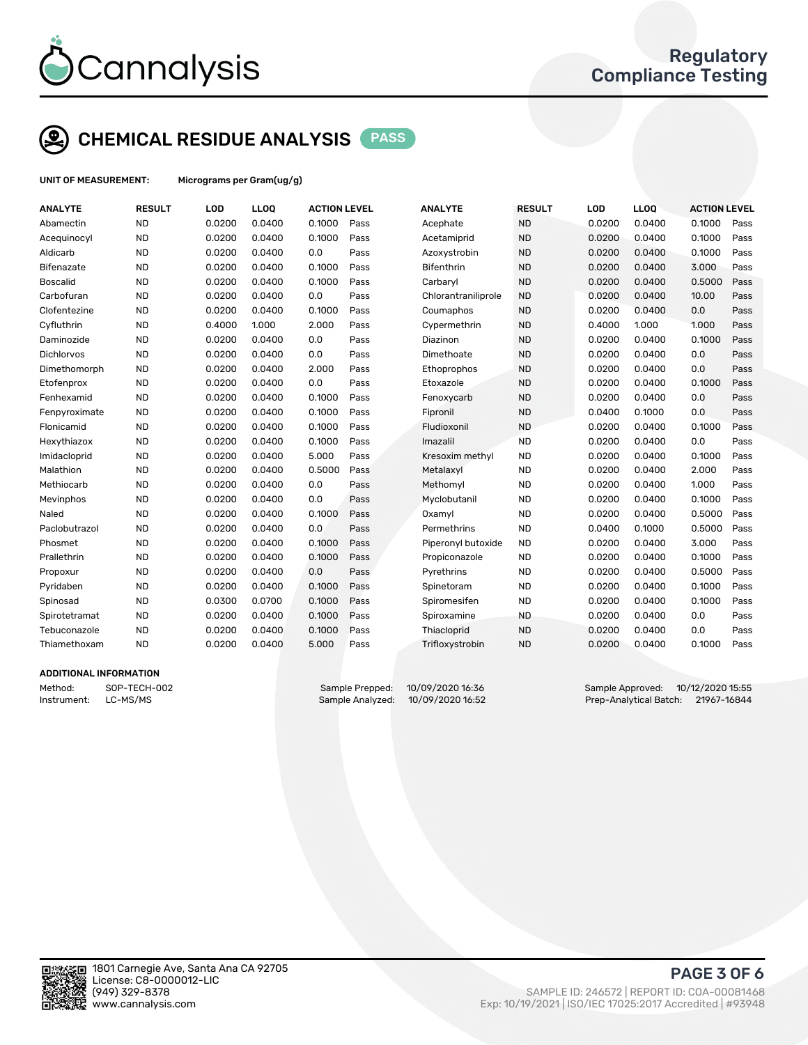

### CHEMICAL RESIDUE ANALYSIS PASS

UNIT OF MEASUREMENT: Micrograms per Gram(ug/g)

| <b>ANALYTE</b>    | <b>RESULT</b> | LOD    | LLOQ   | <b>ACTION LEVEL</b> |      | <b>ANALYTE</b>      | <b>RESULT</b> | LOD    | <b>LLOQ</b> | <b>ACTION LEVEL</b> |      |
|-------------------|---------------|--------|--------|---------------------|------|---------------------|---------------|--------|-------------|---------------------|------|
| Abamectin         | <b>ND</b>     | 0.0200 | 0.0400 | 0.1000              | Pass | Acephate            | <b>ND</b>     | 0.0200 | 0.0400      | 0.1000              | Pass |
| Acequinocyl       | <b>ND</b>     | 0.0200 | 0.0400 | 0.1000              | Pass | Acetamiprid         | <b>ND</b>     | 0.0200 | 0.0400      | 0.1000              | Pass |
| Aldicarb          | <b>ND</b>     | 0.0200 | 0.0400 | 0.0                 | Pass | Azoxystrobin        | <b>ND</b>     | 0.0200 | 0.0400      | 0.1000              | Pass |
| <b>Bifenazate</b> | <b>ND</b>     | 0.0200 | 0.0400 | 0.1000              | Pass | <b>Bifenthrin</b>   | <b>ND</b>     | 0.0200 | 0.0400      | 3.000               | Pass |
| <b>Boscalid</b>   | <b>ND</b>     | 0.0200 | 0.0400 | 0.1000              | Pass | Carbaryl            | <b>ND</b>     | 0.0200 | 0.0400      | 0.5000              | Pass |
| Carbofuran        | <b>ND</b>     | 0.0200 | 0.0400 | 0.0                 | Pass | Chlorantraniliprole | <b>ND</b>     | 0.0200 | 0.0400      | 10.00               | Pass |
| Clofentezine      | <b>ND</b>     | 0.0200 | 0.0400 | 0.1000              | Pass | Coumaphos           | <b>ND</b>     | 0.0200 | 0.0400      | 0.0                 | Pass |
| Cyfluthrin        | <b>ND</b>     | 0.4000 | 1.000  | 2.000               | Pass | Cypermethrin        | <b>ND</b>     | 0.4000 | 1.000       | 1.000               | Pass |
| Daminozide        | <b>ND</b>     | 0.0200 | 0.0400 | 0.0                 | Pass | Diazinon            | <b>ND</b>     | 0.0200 | 0.0400      | 0.1000              | Pass |
| <b>Dichlorvos</b> | <b>ND</b>     | 0.0200 | 0.0400 | 0.0                 | Pass | Dimethoate          | <b>ND</b>     | 0.0200 | 0.0400      | 0.0                 | Pass |
| Dimethomorph      | <b>ND</b>     | 0.0200 | 0.0400 | 2.000               | Pass | Ethoprophos         | <b>ND</b>     | 0.0200 | 0.0400      | 0.0                 | Pass |
| Etofenprox        | <b>ND</b>     | 0.0200 | 0.0400 | 0.0                 | Pass | Etoxazole           | <b>ND</b>     | 0.0200 | 0.0400      | 0.1000              | Pass |
| Fenhexamid        | <b>ND</b>     | 0.0200 | 0.0400 | 0.1000              | Pass | Fenoxycarb          | <b>ND</b>     | 0.0200 | 0.0400      | 0.0                 | Pass |
| Fenpyroximate     | <b>ND</b>     | 0.0200 | 0.0400 | 0.1000              | Pass | Fipronil            | <b>ND</b>     | 0.0400 | 0.1000      | 0.0                 | Pass |
| Flonicamid        | <b>ND</b>     | 0.0200 | 0.0400 | 0.1000              | Pass | Fludioxonil         | <b>ND</b>     | 0.0200 | 0.0400      | 0.1000              | Pass |
| Hexythiazox       | <b>ND</b>     | 0.0200 | 0.0400 | 0.1000              | Pass | Imazalil            | <b>ND</b>     | 0.0200 | 0.0400      | 0.0                 | Pass |
| Imidacloprid      | <b>ND</b>     | 0.0200 | 0.0400 | 5.000               | Pass | Kresoxim methyl     | <b>ND</b>     | 0.0200 | 0.0400      | 0.1000              | Pass |
| Malathion         | <b>ND</b>     | 0.0200 | 0.0400 | 0.5000              | Pass | Metalaxyl           | <b>ND</b>     | 0.0200 | 0.0400      | 2.000               | Pass |
| Methiocarb        | <b>ND</b>     | 0.0200 | 0.0400 | 0.0                 | Pass | Methomyl            | <b>ND</b>     | 0.0200 | 0.0400      | 1.000               | Pass |
| Mevinphos         | <b>ND</b>     | 0.0200 | 0.0400 | 0.0                 | Pass | Myclobutanil        | <b>ND</b>     | 0.0200 | 0.0400      | 0.1000              | Pass |
| Naled             | <b>ND</b>     | 0.0200 | 0.0400 | 0.1000              | Pass | Oxamyl              | <b>ND</b>     | 0.0200 | 0.0400      | 0.5000              | Pass |
| Paclobutrazol     | <b>ND</b>     | 0.0200 | 0.0400 | 0.0                 | Pass | Permethrins         | <b>ND</b>     | 0.0400 | 0.1000      | 0.5000              | Pass |
| Phosmet           | <b>ND</b>     | 0.0200 | 0.0400 | 0.1000              | Pass | Piperonyl butoxide  | <b>ND</b>     | 0.0200 | 0.0400      | 3.000               | Pass |
| Prallethrin       | <b>ND</b>     | 0.0200 | 0.0400 | 0.1000              | Pass | Propiconazole       | <b>ND</b>     | 0.0200 | 0.0400      | 0.1000              | Pass |
| Propoxur          | <b>ND</b>     | 0.0200 | 0.0400 | 0.0                 | Pass | Pyrethrins          | <b>ND</b>     | 0.0200 | 0.0400      | 0.5000              | Pass |
| Pyridaben         | <b>ND</b>     | 0.0200 | 0.0400 | 0.1000              | Pass | Spinetoram          | <b>ND</b>     | 0.0200 | 0.0400      | 0.1000              | Pass |
| Spinosad          | <b>ND</b>     | 0.0300 | 0.0700 | 0.1000              | Pass | Spiromesifen        | <b>ND</b>     | 0.0200 | 0.0400      | 0.1000              | Pass |
| Spirotetramat     | <b>ND</b>     | 0.0200 | 0.0400 | 0.1000              | Pass | Spiroxamine         | <b>ND</b>     | 0.0200 | 0.0400      | 0.0                 | Pass |
| Tebuconazole      | <b>ND</b>     | 0.0200 | 0.0400 | 0.1000              | Pass | Thiacloprid         | <b>ND</b>     | 0.0200 | 0.0400      | 0.0                 | Pass |
| Thiamethoxam      | <b>ND</b>     | 0.0200 | 0.0400 | 5.000               | Pass | Trifloxystrobin     | <b>ND</b>     | 0.0200 | 0.0400      | 0.1000              | Pass |
|                   |               |        |        |                     |      |                     |               |        |             |                     |      |

#### ADDITIONAL INFORMATION

Method: SOP-TECH-002 Sample Prepped: 10/09/2020 16:36 Sample Approved: 10/12/2020 15:55 Instrument: LC-MS/MS Sample Analyzed: 10/09/2020 16:52 Prep-Analytical Batch: 21967-16844



PAGE 3 OF 6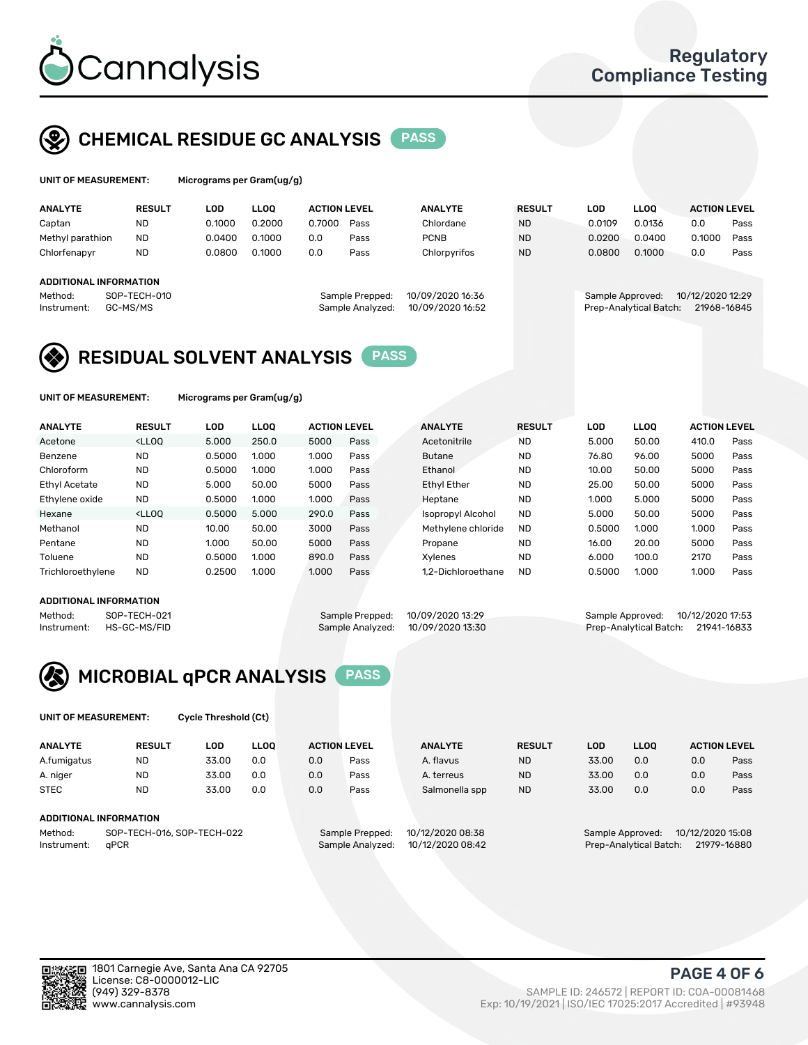

### CHEMICAL RESIDUE GC ANALYSIS PASS

| UNIT OF MEASUREMENT: | Microgra |
|----------------------|----------|
|                      |          |

ams per Gram(ug/g)

| <b>ANALYTE</b>                                   | <b>RESULT</b>            | LOD    | <b>LLOO</b> | <b>ACTION LEVEL</b> |                                     | <b>ANALYTE</b>                       | <b>RESULT</b> | LOD              | <b>LLOO</b>            | <b>ACTION LEVEL</b>             |      |
|--------------------------------------------------|--------------------------|--------|-------------|---------------------|-------------------------------------|--------------------------------------|---------------|------------------|------------------------|---------------------------------|------|
| Captan                                           | <b>ND</b>                | 0.1000 | 0.2000      | 0.7000              | Pass                                | Chlordane                            | <b>ND</b>     | 0.0109           | 0.0136                 | 0.0                             | Pass |
| Methyl parathion                                 | <b>ND</b>                | 0.0400 | 0.1000      | 0.0                 | Pass                                | <b>PCNB</b>                          | <b>ND</b>     | 0.0200           | 0.0400                 | 0.1000                          | Pass |
| Chlorfenapyr                                     | <b>ND</b>                | 0.0800 | 0.1000      | 0.0                 | Pass                                | Chlorpyrifos                         | <b>ND</b>     | 0.0800           | 0.1000                 | 0.0                             | Pass |
| ADDITIONAL INFORMATION<br>Method:<br>Instrument: | SOP-TECH-010<br>GC-MS/MS |        |             |                     | Sample Prepped:<br>Sample Analyzed: | 10/09/2020 16:36<br>10/09/2020 16:52 |               | Sample Approved: | Prep-Analytical Batch: | 10/12/2020 12:29<br>21968-16845 |      |

### RESIDUAL SOLVENT ANALYSIS PASS

UNIT OF MEASUREMENT: Micrograms per Gram(ug/g)

| <b>ANALYTE</b>       | <b>RESULT</b>                                                                                                                                                                          | LOD    | <b>LLOO</b> | <b>ACTION LEVEL</b> |      | <b>ANALYTE</b>           | <b>RESULT</b> | LOD    | <b>LLOO</b> | <b>ACTION LEVEL</b> |      |
|----------------------|----------------------------------------------------------------------------------------------------------------------------------------------------------------------------------------|--------|-------------|---------------------|------|--------------------------|---------------|--------|-------------|---------------------|------|
| Acetone              | <lloo< td=""><td>5.000</td><td>250.0</td><td>5000</td><td>Pass</td><td>Acetonitrile</td><td><b>ND</b></td><td>5.000</td><td>50.00</td><td>410.0</td><td>Pass</td></lloo<>              | 5.000  | 250.0       | 5000                | Pass | Acetonitrile             | <b>ND</b>     | 5.000  | 50.00       | 410.0               | Pass |
| Benzene              | <b>ND</b>                                                                                                                                                                              | 0.5000 | 1.000       | 1.000               | Pass | <b>Butane</b>            | <b>ND</b>     | 76.80  | 96.00       | 5000                | Pass |
| Chloroform           | <b>ND</b>                                                                                                                                                                              | 0.5000 | 1.000       | 1.000               | Pass | Ethanol                  | <b>ND</b>     | 10.00  | 50.00       | 5000                | Pass |
| <b>Ethyl Acetate</b> | <b>ND</b>                                                                                                                                                                              | 5.000  | 50.00       | 5000                | Pass | <b>Ethyl Ether</b>       | <b>ND</b>     | 25.00  | 50.00       | 5000                | Pass |
| Ethylene oxide       | <b>ND</b>                                                                                                                                                                              | 0.5000 | 1.000       | 1.000               | Pass | Heptane                  | <b>ND</b>     | 1.000  | 5.000       | 5000                | Pass |
| Hexane               | <lloo< td=""><td>0.5000</td><td>5.000</td><td>290.0</td><td>Pass</td><td><b>Isopropyl Alcohol</b></td><td><b>ND</b></td><td>5.000</td><td>50.00</td><td>5000</td><td>Pass</td></lloo<> | 0.5000 | 5.000       | 290.0               | Pass | <b>Isopropyl Alcohol</b> | <b>ND</b>     | 5.000  | 50.00       | 5000                | Pass |
| Methanol             | <b>ND</b>                                                                                                                                                                              | 10.00  | 50.00       | 3000                | Pass | Methylene chloride       | <b>ND</b>     | 0.5000 | 1.000       | 1.000               | Pass |
| Pentane              | <b>ND</b>                                                                                                                                                                              | 1.000  | 50.00       | 5000                | Pass | Propane                  | <b>ND</b>     | 16.00  | 20.00       | 5000                | Pass |
| Toluene              | <b>ND</b>                                                                                                                                                                              | 0.5000 | 1.000       | 890.0               | Pass | Xvlenes                  | <b>ND</b>     | 6.000  | 100.0       | 2170                | Pass |
| Trichloroethylene    | <b>ND</b>                                                                                                                                                                              | 0.2500 | 1.000       | 1.000               | Pass | 1.2-Dichloroethane       | <b>ND</b>     | 0.5000 | 1.000       | 1.000               | Pass |
|                      |                                                                                                                                                                                        |        |             |                     |      |                          |               |        |             |                     |      |

#### ADDITIONAL INFORMATION

Method: SOP-TECH-021 Sample Prepped: 10/09/2020 13:29 Sample Approved: 10/12/2020 17:53<br>Instrument: HS-GC-MS/FID Sample Analyzed: 10/09/2020 13:30 Prep-Analytical Batch: 21941-16833 Prep-Analytical Batch: 21941-16833



UNIT OF MEASUREMENT: Cycle Threshold (Ct)

| <b>ANALYTE</b>         | <b>RESULT</b>                    | LOD   | <b>LLOO</b> |     | <b>ACTION LEVEL</b> | <b>ANALYTE</b> | <b>RESULT</b>                                           | <b>LOD</b> | LL <sub>00</sub> | <b>ACTION LEVEL</b> |      |  |
|------------------------|----------------------------------|-------|-------------|-----|---------------------|----------------|---------------------------------------------------------|------------|------------------|---------------------|------|--|
| A.fumigatus            | <b>ND</b>                        | 33.00 | 0.0         | 0.0 | Pass                | A. flavus      | <b>ND</b>                                               | 33.00      | 0.0              | 0.0                 | Pass |  |
| A. niger               | <b>ND</b>                        | 33.00 | 0.0         | 0.0 | Pass                | A. terreus     | <b>ND</b>                                               | 33.00      | 0.0              | 0.0                 | Pass |  |
| <b>STEC</b>            | <b>ND</b>                        | 33.00 | 0.0         | 0.0 | Pass                | Salmonella spp | <b>ND</b>                                               | 33.00      | 0.0              | 0.0                 | Pass |  |
| ADDITIONAL INFORMATION |                                  |       |             |     |                     |                |                                                         |            |                  |                     |      |  |
|                        | --- ---- - - - - -- --- -- - - - |       | $\sim$      | .   |                     |                | $\sim$ $\sim$ $\sim$ $\sim$ $\sim$ $\sim$ $\sim$ $\sim$ |            |                  |                     |      |  |

Method: SOP-TECH-016, SOP-TECH-022 Sample Prepped: 10/12/2020 08:38 Sample Approved: 10/12/2020 15:08<br>Instrument: qPCR Sample Analyzed: 10/12/2020 08:42 Prep-Analytical Batch: 21979-16880 Instrument: qPCR Sample Analyzed: 10/12/2020 08:42 Prep-Analytical Batch: 21979-16880

PAGE 4 OF 6

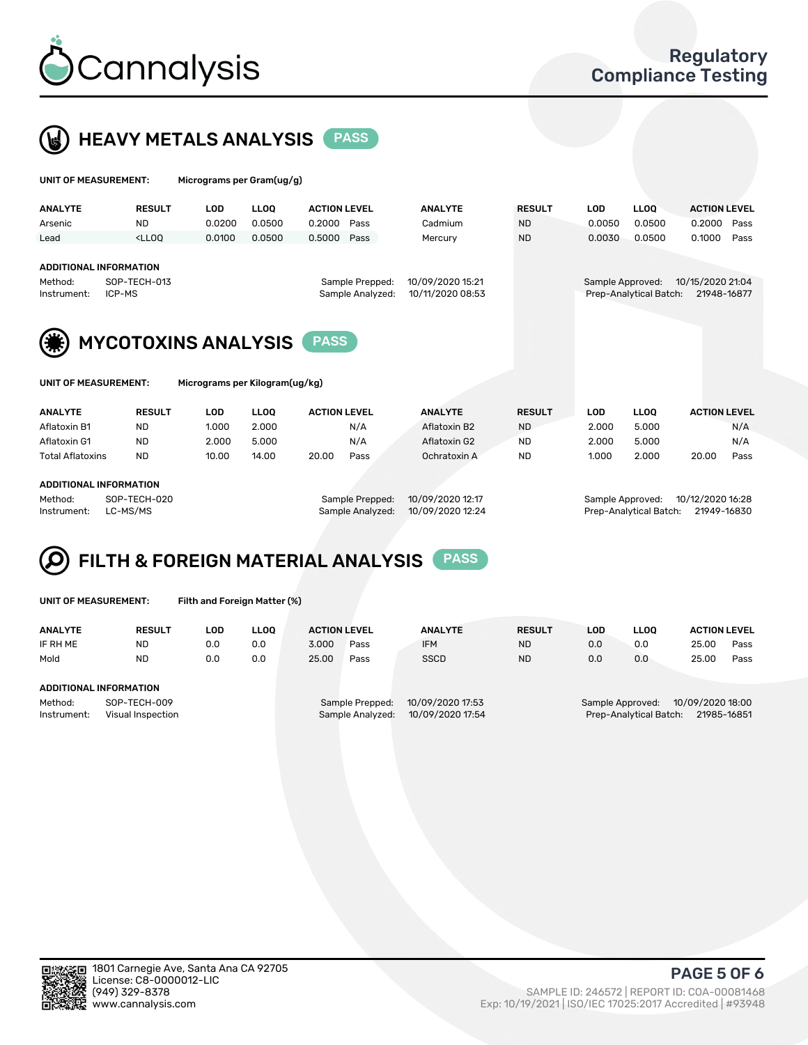

 $U$ UNIT OF MEASUREMENT: Micrograms per Gram(ug/g)



|                                                                                                     |               |            | $1.000$ egrante per eranticial al |                                      |                  |               |                                       |             |                     |      |
|-----------------------------------------------------------------------------------------------------|---------------|------------|-----------------------------------|--------------------------------------|------------------|---------------|---------------------------------------|-------------|---------------------|------|
| <b>ANALYTE</b>                                                                                      | <b>RESULT</b> | LOD        | <b>LLOQ</b>                       | <b>ACTION LEVEL</b>                  | <b>ANALYTE</b>   | <b>RESULT</b> | <b>LOD</b>                            | <b>LLOQ</b> | <b>ACTION LEVEL</b> |      |
| Arsenic                                                                                             | <b>ND</b>     | 0.0200     | 0.0500                            | 0.2000<br>Pass                       | Cadmium          | <b>ND</b>     | 0.0050                                | 0.0500      | 0.2000              | Pass |
| Lead                                                                                                | $<$ LLOO      | 0.0100     | 0.0500                            | 0.5000<br>Pass                       | Mercury          | <b>ND</b>     | 0.0030                                | 0.0500      | 0.1000              | Pass |
| <b>ADDITIONAL INFORMATION</b><br>Method:                                                            | SOP-TECH-013  |            |                                   | Sample Prepped:                      | 10/09/2020 15:21 |               | Sample Approved:                      |             | 10/15/2020 21:04    |      |
| ICP-MS<br>Instrument:                                                                               |               |            |                                   | Sample Analyzed:<br>10/11/2020 08:53 |                  |               | Prep-Analytical Batch:<br>21948-16877 |             |                     |      |
| <b>MYCOTOXINS ANALYSIS</b><br><b>PASS</b><br>UNIT OF MEASUREMENT:<br>Micrograms per Kilogram(ug/kg) |               |            |                                   |                                      |                  |               |                                       |             |                     |      |
| <b>ANALYTE</b>                                                                                      | <b>RESULT</b> | <b>LOD</b> | <b>LLOO</b>                       | <b>ACTION LEVEL</b>                  | <b>ANALYTE</b>   | <b>RESULT</b> | <b>LOD</b>                            | <b>LLOQ</b> | <b>ACTION LEVEL</b> |      |
| Aflatoxin B1                                                                                        | <b>ND</b>     | 1.000      | 2.000                             | N/A                                  | Aflatoxin B2     | <b>ND</b>     | 2.000                                 | 5.000       |                     | N/A  |
| Aflatoxin G1                                                                                        | <b>ND</b>     | 2.000      | 5.000                             | N/A                                  | Aflatoxin G2     | <b>ND</b>     | 2.000                                 | 5.000       |                     | N/A  |
| <b>Total Aflatoxins</b>                                                                             | <b>ND</b>     | 10.00      | 14.00                             | 20.00<br>Pass                        | Ochratoxin A     | <b>ND</b>     | 1.000                                 | 2.000       | 20.00               | Pass |

#### ADDITIONAL INFORMATION

Method: SOP-TECH-020 Sample Prepped: 10/09/2020 12:17 Sample Approved: 10/12/2020 16:28 Instrument: LC-MS/MS Sample Analyzed: 10/09/2020 12:24 Prep-Analytical Batch: 21949-16830

## FILTH & FOREIGN MATERIAL ANALYSIS PASS

UNIT OF MEASUREMENT: Filth and Foreign Matter (%)

| <b>ANALYTE</b>         | <b>RESULT</b>                     | LOD. | <b>LLOO</b> | <b>ACTION LEVEL</b> |                                     | <b>ANALYTE</b>                       | <b>RESULT</b> | LOD | <b>LLOO</b>                                | <b>ACTION LEVEL</b>             |      |
|------------------------|-----------------------------------|------|-------------|---------------------|-------------------------------------|--------------------------------------|---------------|-----|--------------------------------------------|---------------------------------|------|
| IF RH ME               | <b>ND</b>                         | 0.0  | 0.0         | 3.000               | Pass                                | <b>IFM</b>                           | <b>ND</b>     | 0.0 | 0.0                                        | 25.00                           | Pass |
| Mold                   | <b>ND</b>                         | 0.0  | 0.0         | 25.00               | Pass                                | <b>SSCD</b>                          | <b>ND</b>     | 0.0 | 0.0                                        | 25.00                           | Pass |
| ADDITIONAL INFORMATION |                                   |      |             |                     |                                     |                                      |               |     |                                            |                                 |      |
| Method:<br>Instrument: | SOP-TECH-009<br>Visual Inspection |      |             |                     | Sample Prepped:<br>Sample Analyzed: | 10/09/2020 17:53<br>10/09/2020 17:54 |               |     | Sample Approved:<br>Prep-Analytical Batch: | 10/09/2020 18:00<br>21985-16851 |      |



PAGE 5 OF 6